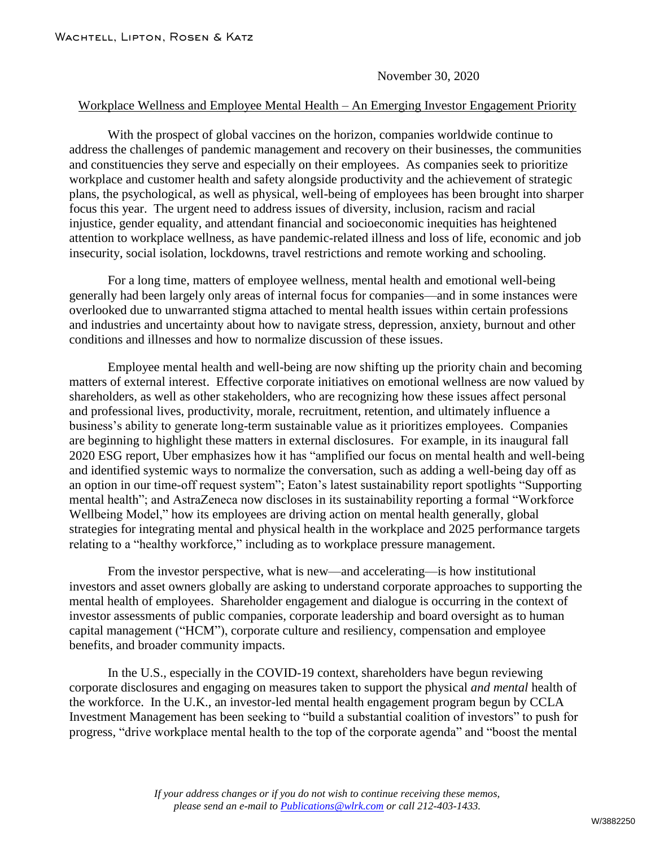November 30, 2020

## Workplace Wellness and Employee Mental Health – An Emerging Investor Engagement Priority

With the prospect of global vaccines on the horizon, companies worldwide continue to address the challenges of pandemic management and recovery on their businesses, the communities and constituencies they serve and especially on their employees. As companies seek to prioritize workplace and customer health and safety alongside productivity and the achievement of strategic plans, the psychological, as well as physical, well-being of employees has been brought into sharper focus this year. The urgent need to address issues of diversity, inclusion, racism and racial injustice, gender equality, and attendant financial and socioeconomic inequities has heightened attention to workplace wellness, as have pandemic-related illness and loss of life, economic and job insecurity, social isolation, lockdowns, travel restrictions and remote working and schooling.

For a long time, matters of employee wellness, mental health and emotional well-being generally had been largely only areas of internal focus for companies—and in some instances were overlooked due to unwarranted stigma attached to mental health issues within certain professions and industries and uncertainty about how to navigate stress, depression, anxiety, burnout and other conditions and illnesses and how to normalize discussion of these issues.

Employee mental health and well-being are now shifting up the priority chain and becoming matters of external interest. Effective corporate initiatives on emotional wellness are now valued by shareholders, as well as other stakeholders, who are recognizing how these issues affect personal and professional lives, productivity, morale, recruitment, retention, and ultimately influence a business's ability to generate long-term sustainable value as it prioritizes employees. Companies are beginning to highlight these matters in external disclosures. For example, in its inaugural fall 2020 ESG report, Uber emphasizes how it has "amplified our focus on mental health and well-being and identified systemic ways to normalize the conversation, such as adding a well-being day off as an option in our time-off request system"; Eaton's latest sustainability report spotlights "Supporting mental health"; and AstraZeneca now discloses in its sustainability reporting a formal "Workforce Wellbeing Model," how its employees are driving action on mental health generally, global strategies for integrating mental and physical health in the workplace and 2025 performance targets relating to a "healthy workforce," including as to workplace pressure management.

From the investor perspective, what is new—and accelerating—is how institutional investors and asset owners globally are asking to understand corporate approaches to supporting the mental health of employees. Shareholder engagement and dialogue is occurring in the context of investor assessments of public companies, corporate leadership and board oversight as to human capital management ("HCM"), corporate culture and resiliency, compensation and employee benefits, and broader community impacts.

In the U.S., especially in the COVID-19 context, shareholders have begun reviewing corporate disclosures and engaging on measures taken to support the physical *and mental* health of the workforce. In the U.K., an investor-led mental health engagement program begun by CCLA Investment Management has been seeking to "build a substantial coalition of investors" to push for progress, "drive workplace mental health to the top of the corporate agenda" and "boost the mental

> *If your address changes or if you do not wish to continue receiving these memos, please send an e-mail to [Publications@wlrk.com](mailto:info@wlrk.com) or call 212-403-1433.*